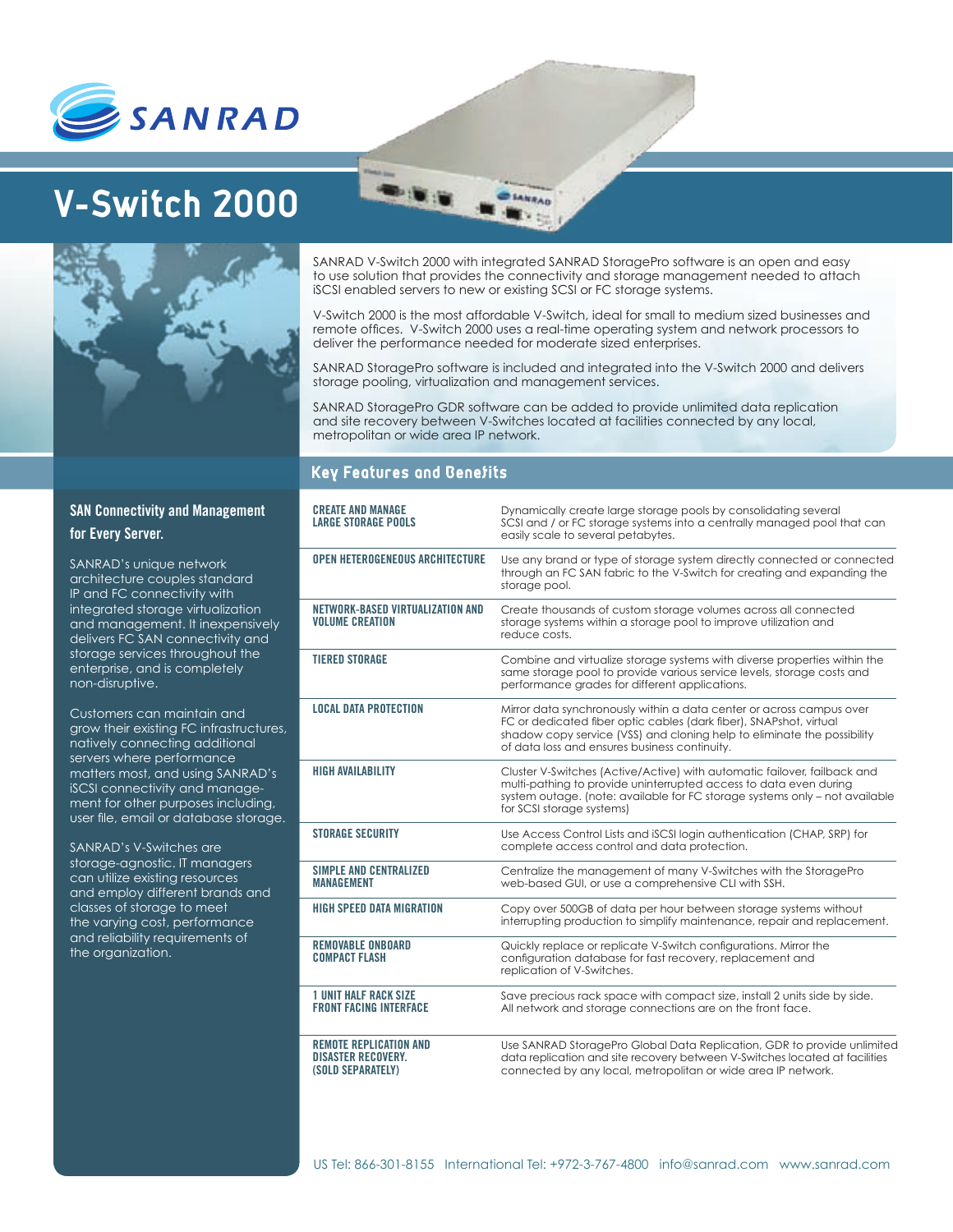

## **V-Switch 2000**



SANRAD V-Switch 2000 with integrated SANRAD StoragePro software is an open and easy to use solution that provides the connectivity and storage management needed to attach iSCSI enabled servers to new or existing SCSI or FC storage systems.

**ANRAD** 

V-Switch 2000 is the most affordable V-Switch, ideal for small to medium sized businesses and remote offices. V-Switch 2000 uses a real-time operating system and network processors to deliver the performance needed for moderate sized enterprises.

SANRAD StoragePro software is included and integrated into the V-Switch 2000 and delivers storage pooling, virtualization and management services.

SANRAD StoragePro GDR software can be added to provide unlimited data replication and site recovery between V-Switches located at facilities connected by any local, metropolitan or wide area IP network.

## **Key Features and Benefits**

| <b>CREATE AND MANAGE</b><br><b>LARGE STORAGE POOLS</b>                          | Dynamically create large storage pools by consolidating several<br>SCSI and / or FC storage systems into a centrally managed pool that can<br>easily scale to several petabytes.                                                                                       |
|---------------------------------------------------------------------------------|------------------------------------------------------------------------------------------------------------------------------------------------------------------------------------------------------------------------------------------------------------------------|
| <b>OPEN HETEROGENEOUS ARCHITECTURE</b>                                          | Use any brand or type of storage system directly connected or connected<br>through an FC SAN fabric to the V-Switch for creating and expanding the<br>storage pool.                                                                                                    |
| NETWORK-BASED VIRTUALIZATION AND<br><b><i>VOLUME CREATION</i></b>               | Create thousands of custom storage volumes across all connected<br>storage systems within a storage pool to improve utilization and<br>reduce costs.                                                                                                                   |
| <b>TIERED STORAGE</b>                                                           | Combine and virtualize storage systems with diverse properties within the<br>same storage pool to provide various service levels, storage costs and<br>performance grades for different applications.                                                                  |
| <b>LOCAL DATA PROTECTION</b>                                                    | Mirror data synchronously within a data center or across campus over<br>FC or dedicated fiber optic cables (dark fiber), SNAPshot, virtual<br>shadow copy service (VSS) and cloning help to eliminate the possibility<br>of data loss and ensures business continuity. |
| <b>HIGH AVAILABILITY</b>                                                        | Cluster V-Switches (Active/Active) with automatic failover, failback and<br>multi-pathing to provide uninterrupted access to data even during<br>system outage. (note: available for FC storage systems only - not available<br>for SCSI storage systems)              |
| <b>STORAGE SECURITY</b>                                                         | Use Access Control Lists and iSCSI login authentication (CHAP, SRP) for<br>complete access control and data protection.                                                                                                                                                |
| <b>SIMPLE AND CENTRALIZED</b><br><b>MANAGEMENT</b>                              | Centralize the management of many V-Switches with the StoragePro<br>web-based GUI, or use a comprehensive CLI with SSH.                                                                                                                                                |
| <b>HIGH SPEED DATA MIGRATION</b>                                                | Copy over 500GB of data per hour between storage systems without<br>interrupting production to simplify maintenance, repair and replacement.                                                                                                                           |
| <b>REMOVABLE ONBOARD</b><br><b>COMPACT FLASH</b>                                | Quickly replace or replicate V-Switch configurations. Mirror the<br>configuration database for fast recovery, replacement and<br>replication of V-Switches.                                                                                                            |
| <b>1 UNIT HALF RACK SIZE</b><br><b>FRONT FACING INTERFACE</b>                   | Save precious rack space with compact size, install 2 units side by side.<br>All network and storage connections are on the front face.                                                                                                                                |
| <b>REMOTE REPLICATION AND</b><br><b>DISASTER RECOVERY.</b><br>(SOLD SEPARATELY) | Use SANRAD StoragePro Global Data Replication, GDR to provide unlimited<br>data replication and site recovery between V-Switches located at facilities<br>connected by any local, metropolitan or wide area IP network.                                                |

## **SAN Connectivity and Management for Every Server.**

SANRAD's unique network architecture couples standard IP and FC connectivity with integrated storage virtualization and management. It inexpensively delivers FC SAN connectivity and storage services throughout the enterprise, and is completely non-disruptive.

Customers can maintain and grow their existing FC infrastructures, natively connecting additional servers where performance matters most, and using SANRAD's iSCSI connectivity and management for other purposes including, user file, email or database storage.

SANRAD's V-Switches are storage-agnostic. IT managers can utilize existing resources and employ different brands and classes of storage to meet the varying cost, performance and reliability requirements of the organization.